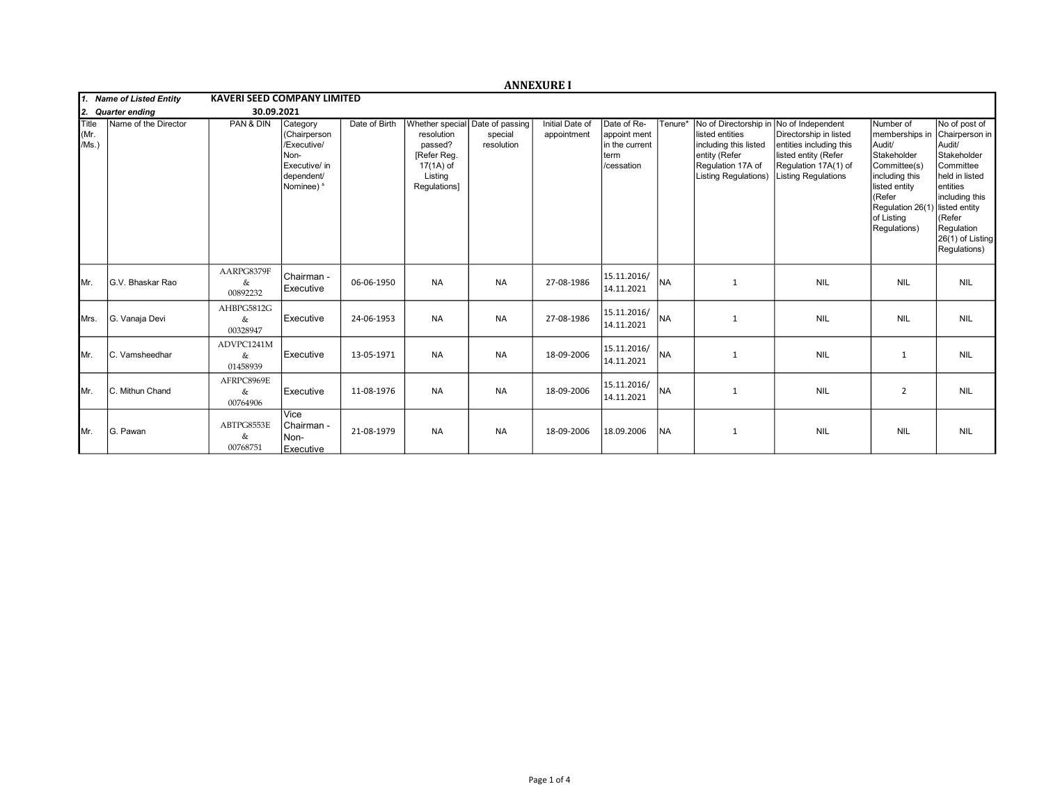|                              |                       |                                    |                                                                                              |               |                                                                              |                                                          | <b>ANNEXURE I</b>              |                                                                     |           |                                                                                                                                        |                                                                                                                                                      |                                                                                                                                                                                   |                                                                                                                                                                                    |
|------------------------------|-----------------------|------------------------------------|----------------------------------------------------------------------------------------------|---------------|------------------------------------------------------------------------------|----------------------------------------------------------|--------------------------------|---------------------------------------------------------------------|-----------|----------------------------------------------------------------------------------------------------------------------------------------|------------------------------------------------------------------------------------------------------------------------------------------------------|-----------------------------------------------------------------------------------------------------------------------------------------------------------------------------------|------------------------------------------------------------------------------------------------------------------------------------------------------------------------------------|
| 1. Name of Listed Entity     |                       | <b>KAVERI SEED COMPANY LIMITED</b> |                                                                                              |               |                                                                              |                                                          |                                |                                                                     |           |                                                                                                                                        |                                                                                                                                                      |                                                                                                                                                                                   |                                                                                                                                                                                    |
| 12.                          | <b>Quarter ending</b> | 30.09.2021                         |                                                                                              |               |                                                                              |                                                          |                                |                                                                     |           |                                                                                                                                        |                                                                                                                                                      |                                                                                                                                                                                   |                                                                                                                                                                                    |
| <b>Title</b><br>Mr.<br>/Ms.) | Name of the Director  | PAN & DIN                          | Category<br>(Chairperson<br>/Executive/<br>Non-<br>Executive/ in<br>dependent/<br>Nominee) & | Date of Birth | resolution<br>passed?<br>[Refer Reg.<br>17(1A) of<br>Listing<br>Regulations] | Whether special Date of passing<br>special<br>resolution | Initial Date of<br>appointment | Date of Re-<br>appoint ment<br>in the current<br>term<br>/cessation | Tenure*   | No of Directorship in<br>listed entities<br>including this listed<br>entity (Refer<br>Regulation 17A of<br><b>Listing Regulations)</b> | No of Independent<br>Directorship in listed<br>entities including this<br>listed entity (Refer<br>Regulation 17A(1) of<br><b>Listing Regulations</b> | Number of<br>memberships in<br>Audit/<br>Stakeholder<br>Committee(s)<br>including this<br>listed entity<br>(Refer<br>Regulation 26(1) listed entity<br>of Listing<br>Regulations) | No of post of<br>Chairperson in<br>Audit/<br>Stakeholder<br>Committee<br>held in listed<br>lentities<br>including this<br>KRefer<br>Regulation<br>26(1) of Listing<br>Regulations) |
| IMr.                         | G.V. Bhaskar Rao      | AARPG8379F<br>&<br>00892232        | Chairman -<br>Executive                                                                      | 06-06-1950    | <b>NA</b>                                                                    | <b>NA</b>                                                | 27-08-1986                     | 15.11.2016/<br>14.11.2021                                           | <b>NA</b> | 1                                                                                                                                      | <b>NIL</b>                                                                                                                                           | <b>NIL</b>                                                                                                                                                                        | <b>NIL</b>                                                                                                                                                                         |
| <b>I</b> Mrs.                | G. Vanaja Devi        | AHBPG5812G<br>&<br>00328947        | Executive                                                                                    | 24-06-1953    | <b>NA</b>                                                                    | <b>NA</b>                                                | 27-08-1986                     | 15.11.2016/<br>14.11.2021                                           | <b>NA</b> | $\mathbf{1}$                                                                                                                           | <b>NIL</b>                                                                                                                                           | <b>NIL</b>                                                                                                                                                                        | <b>NIL</b>                                                                                                                                                                         |
| IMr.                         | C. Vamsheedhar        | ADVPC1241M<br>&<br>01458939        | Executive                                                                                    | 13-05-1971    | <b>NA</b>                                                                    | <b>NA</b>                                                | 18-09-2006                     | 15.11.2016/<br>14.11.2021                                           | Ina       | 1                                                                                                                                      | <b>NIL</b>                                                                                                                                           | $\mathbf{1}$                                                                                                                                                                      | <b>NIL</b>                                                                                                                                                                         |
| IMr.                         | C. Mithun Chand       | AFRPC8969E<br>&<br>00764906        | Executive                                                                                    | 11-08-1976    | <b>NA</b>                                                                    | <b>NA</b>                                                | 18-09-2006                     | 15.11.2016/<br>14.11.2021                                           | Ina       | 1                                                                                                                                      | <b>NIL</b>                                                                                                                                           | $\overline{2}$                                                                                                                                                                    | <b>NIL</b>                                                                                                                                                                         |
| IMr.                         | G. Pawan              | ABTPG8553E<br>&<br>00768751        | Vice<br>l Chairman -<br>Non-<br>Executive                                                    | 21-08-1979    | <b>NA</b>                                                                    | <b>NA</b>                                                | 18-09-2006                     | 18.09.2006                                                          | <b>NA</b> | $\mathbf{1}$                                                                                                                           | <b>NIL</b>                                                                                                                                           | <b>NIL</b>                                                                                                                                                                        | <b>NIL</b>                                                                                                                                                                         |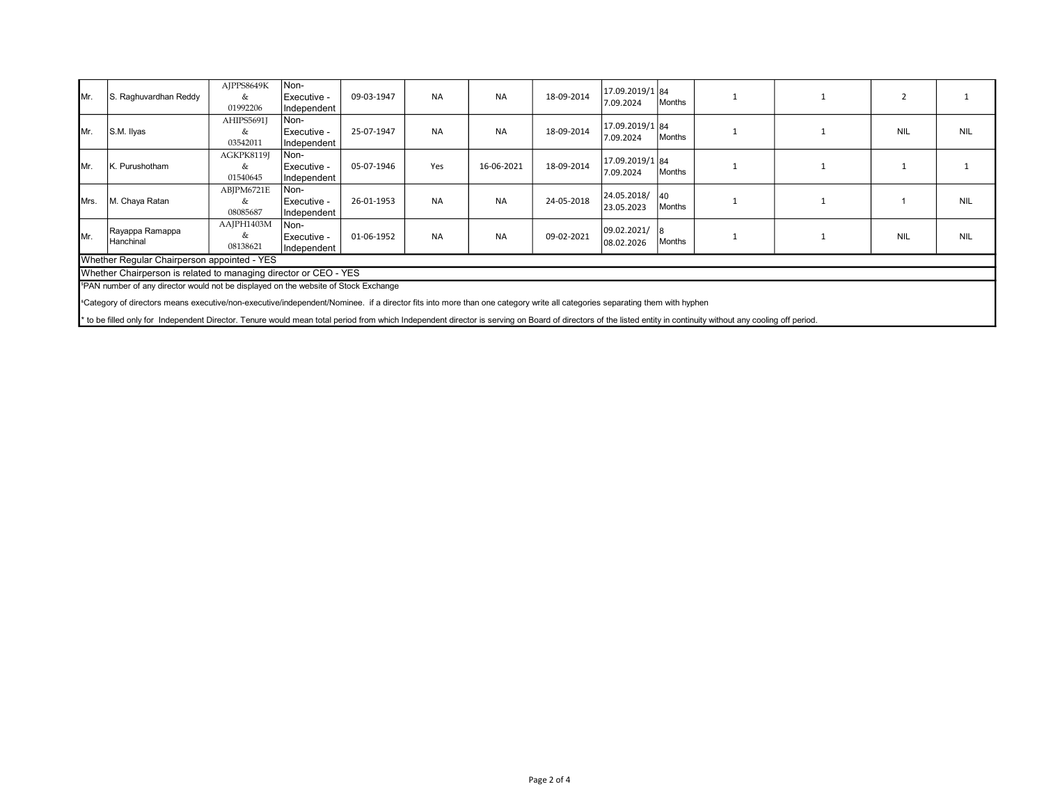| IMr.                                                                                                                                                                                  | S. Raghuvardhan Reddy                                                                                                                                                                                            | AJPPS8649K<br>&             | Non-<br>Executive -                | 09-03-1947 | <b>NA</b> | <b>NA</b>  | 18-09-2014 | 17.09.2019/1 84<br>7.09.2024 | Months        |  |            |            |
|---------------------------------------------------------------------------------------------------------------------------------------------------------------------------------------|------------------------------------------------------------------------------------------------------------------------------------------------------------------------------------------------------------------|-----------------------------|------------------------------------|------------|-----------|------------|------------|------------------------------|---------------|--|------------|------------|
|                                                                                                                                                                                       |                                                                                                                                                                                                                  | 01992206<br>AHIPS5691J      | Independent<br>Non-                |            |           |            |            |                              |               |  |            |            |
| IMr.                                                                                                                                                                                  | S.M. Ilyas                                                                                                                                                                                                       | &<br>03542011               | Executive -<br>Independent         | 25-07-1947 | <b>NA</b> | <b>NA</b>  | 18-09-2014 | 17.09.2019/1 84<br>7.09.2024 | Months        |  | <b>NIL</b> | <b>NIL</b> |
| IMr.                                                                                                                                                                                  | K. Purushotham                                                                                                                                                                                                   | AGKPK8119J<br>&<br>01540645 | Non-<br>Executive -<br>Independent | 05-07-1946 | Yes       | 16-06-2021 | 18-09-2014 | 17.09.2019/1 84<br>7.09.2024 | Months        |  |            |            |
| IMrs.                                                                                                                                                                                 | M. Chaya Ratan                                                                                                                                                                                                   | ABJPM6721E<br>&<br>08085687 | Non-<br>Executive -<br>Independent | 26-01-1953 | <b>NA</b> | <b>NA</b>  | 24-05-2018 | 24.05.2018/<br>23.05.2023    | 140<br>Months |  |            | <b>NIL</b> |
| Mr.                                                                                                                                                                                   | Rayappa Ramappa<br>Hanchinal                                                                                                                                                                                     | AAJPH1403M<br>&<br>08138621 | Non-<br>Executive -<br>Independent | 01-06-1952 | <b>NA</b> | <b>NA</b>  | 09-02-2021 | 09.02.2021/<br>08.02.2026    | 18<br>Months  |  | <b>NIL</b> | <b>NIL</b> |
| Whether Regular Chairperson appointed - YES                                                                                                                                           |                                                                                                                                                                                                                  |                             |                                    |            |           |            |            |                              |               |  |            |            |
| Whether Chairperson is related to managing director or CEO - YES                                                                                                                      |                                                                                                                                                                                                                  |                             |                                    |            |           |            |            |                              |               |  |            |            |
| <sup>5</sup> PAN number of any director would not be displayed on the website of Stock Exchange                                                                                       |                                                                                                                                                                                                                  |                             |                                    |            |           |            |            |                              |               |  |            |            |
| <sup>a</sup> Category of directors means executive/non-executive/independent/Nominee. if a director fits into more than one category write all categories separating them with hyphen |                                                                                                                                                                                                                  |                             |                                    |            |           |            |            |                              |               |  |            |            |
|                                                                                                                                                                                       | * to be filled only for Independent Director. Tenure would mean total period from which Independent director is serving on Board of directors of the listed entity in continuity without any cooling off period. |                             |                                    |            |           |            |            |                              |               |  |            |            |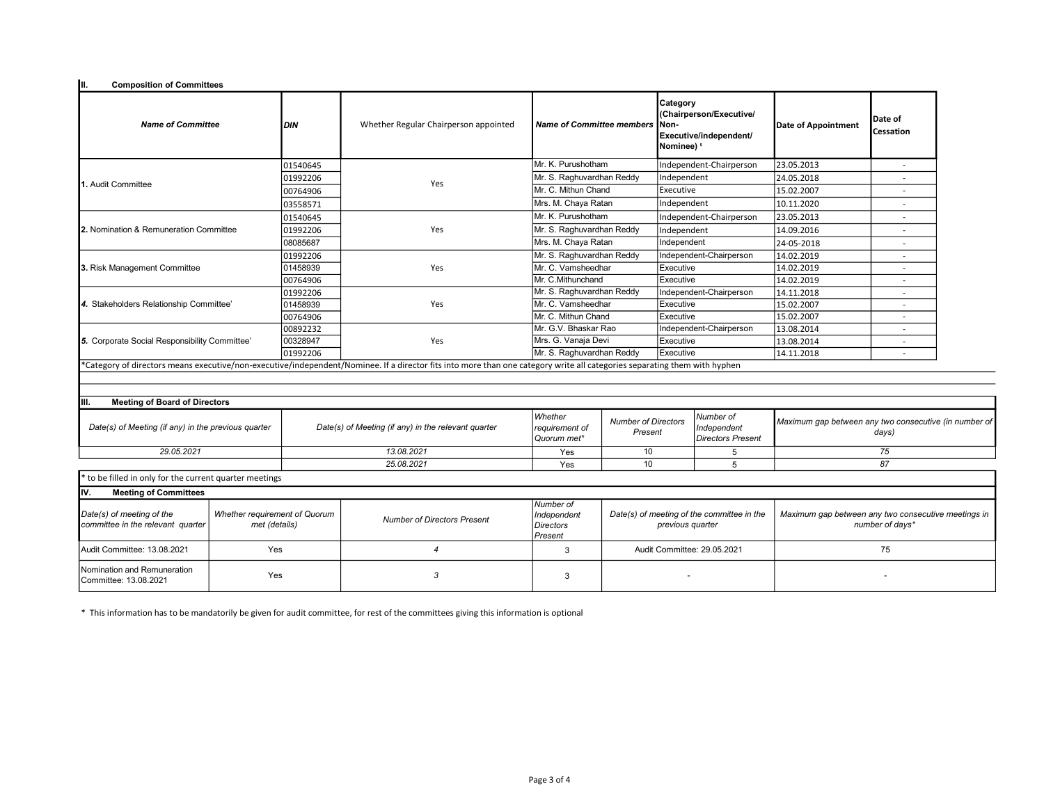| III.<br><b>Composition of Committees</b>                       |                                                |                                                     |                                                                                                                                                                           |                                                         |                                                                |                                                                                                 |                                                      |                                                                        |                             |  |
|----------------------------------------------------------------|------------------------------------------------|-----------------------------------------------------|---------------------------------------------------------------------------------------------------------------------------------------------------------------------------|---------------------------------------------------------|----------------------------------------------------------------|-------------------------------------------------------------------------------------------------|------------------------------------------------------|------------------------------------------------------------------------|-----------------------------|--|
| <b>Name of Committee</b>                                       |                                                | <b>DIN</b>                                          | Whether Regular Chairperson appointed                                                                                                                                     | <b>Name of Committee members</b>                        |                                                                | Category<br>(Chairperson/Executive/<br>Non-<br>Executive/independent/<br>Nominee) <sup>\$</sup> |                                                      | <b>Date of Appointment</b>                                             | Date of<br><b>Cessation</b> |  |
|                                                                |                                                | 01540645                                            |                                                                                                                                                                           | Mr. K. Purushotham                                      |                                                                | Independent-Chairperson                                                                         |                                                      | 23.05.2013                                                             | $\sim$                      |  |
|                                                                |                                                | 01992206                                            |                                                                                                                                                                           |                                                         | Mr. S. Raghuvardhan Reddy                                      |                                                                                                 | Independent                                          | 24.05.2018                                                             | $\overline{a}$              |  |
| 1. Audit Committee                                             |                                                | 00764906                                            | Yes                                                                                                                                                                       | Mr. C. Mithun Chand                                     |                                                                | Executive                                                                                       |                                                      | 15.02.2007                                                             |                             |  |
|                                                                |                                                | 03558571                                            |                                                                                                                                                                           | Mrs. M. Chaya Ratan                                     |                                                                | Independent                                                                                     |                                                      | 10.11.2020                                                             |                             |  |
|                                                                |                                                | 01540645                                            |                                                                                                                                                                           | Mr. K. Purushotham                                      |                                                                | Independent-Chairperson                                                                         |                                                      | 23.05.2013                                                             |                             |  |
| 2. Nomination & Remuneration Committee                         |                                                | 01992206                                            | Yes                                                                                                                                                                       | Mr. S. Raghuvardhan Reddy                               |                                                                | Independent                                                                                     |                                                      | 14.09.2016                                                             | $\overline{a}$              |  |
|                                                                |                                                | 08085687                                            |                                                                                                                                                                           | Mrs. M. Chaya Ratan                                     |                                                                | Independent                                                                                     |                                                      | 24-05-2018                                                             | $\overline{\phantom{a}}$    |  |
|                                                                |                                                | 01992206                                            |                                                                                                                                                                           | Mr. S. Raghuvardhan Reddy                               |                                                                |                                                                                                 | Independent-Chairperson                              | 14.02.2019                                                             |                             |  |
| 3. Risk Management Committee                                   |                                                | 01458939                                            | Yes                                                                                                                                                                       | Mr. C. Vamsheedhar                                      |                                                                | Executive                                                                                       |                                                      | 14.02.2019                                                             | $\overline{\phantom{a}}$    |  |
|                                                                |                                                | 00764906                                            |                                                                                                                                                                           | Mr. C.Mithunchand                                       | Executive                                                      |                                                                                                 |                                                      | 14.02.2019                                                             | $\overline{a}$              |  |
|                                                                |                                                | 01992206                                            |                                                                                                                                                                           | Mr. S. Raghuvardhan Reddy                               |                                                                |                                                                                                 | Independent-Chairperson                              | 14.11.2018                                                             |                             |  |
| 4. Stakeholders Relationship Committee'                        |                                                | 01458939                                            | Yes                                                                                                                                                                       | Mr. C. Vamsheedhar                                      |                                                                | Executive                                                                                       |                                                      | 15.02.2007                                                             |                             |  |
|                                                                |                                                | 00764906                                            |                                                                                                                                                                           | Mr. C. Mithun Chand                                     |                                                                | Executive                                                                                       |                                                      | 15.02.2007                                                             |                             |  |
| 5. Corporate Social Responsibility Committee'                  |                                                | 00892232                                            |                                                                                                                                                                           |                                                         | Mr. G.V. Bhaskar Rao                                           |                                                                                                 | Independent-Chairperson                              | 13.08.2014                                                             | $\overline{\phantom{a}}$    |  |
|                                                                |                                                | 00328947                                            | Yes                                                                                                                                                                       | Mrs. G. Vanaja Devi                                     |                                                                | Executive                                                                                       |                                                      | 13.08.2014                                                             | $\overline{\phantom{a}}$    |  |
|                                                                |                                                | 01992206                                            |                                                                                                                                                                           | Mr. S. Raghuvardhan Reddy                               |                                                                | Executive                                                                                       |                                                      | 14.11.2018                                                             | $\overline{a}$              |  |
|                                                                |                                                |                                                     | *Category of directors means executive/non-executive/independent/Nominee. If a director fits into more than one category write all categories separating them with hyphen |                                                         |                                                                |                                                                                                 |                                                      |                                                                        |                             |  |
|                                                                |                                                |                                                     |                                                                                                                                                                           |                                                         |                                                                |                                                                                                 |                                                      |                                                                        |                             |  |
|                                                                |                                                |                                                     |                                                                                                                                                                           |                                                         |                                                                |                                                                                                 |                                                      |                                                                        |                             |  |
| <b>Meeting of Board of Directors</b><br>IIII.                  |                                                |                                                     |                                                                                                                                                                           |                                                         |                                                                |                                                                                                 |                                                      |                                                                        |                             |  |
| Date(s) of Meeting (if any) in the previous quarter            |                                                | Date(s) of Meeting (if any) in the relevant quarter |                                                                                                                                                                           | Whether<br>requirement of<br>Quorum met*                | <b>Number of Directors</b><br>Present                          |                                                                                                 | Number of<br>Independent<br><b>Directors Present</b> | Maximum gap between any two consecutive (in number of<br>days)         |                             |  |
|                                                                | 29.05.2021                                     |                                                     | 13.08.2021                                                                                                                                                                |                                                         | 10<br>5                                                        |                                                                                                 |                                                      | 75                                                                     |                             |  |
|                                                                |                                                |                                                     | 25.08.2021                                                                                                                                                                |                                                         | 10                                                             |                                                                                                 | 5                                                    | 87                                                                     |                             |  |
| to be filled in only for the current quarter meetings          |                                                |                                                     |                                                                                                                                                                           |                                                         |                                                                |                                                                                                 |                                                      |                                                                        |                             |  |
| IIV.<br><b>Meeting of Committees</b>                           |                                                |                                                     |                                                                                                                                                                           |                                                         |                                                                |                                                                                                 |                                                      |                                                                        |                             |  |
| Date(s) of meeting of the<br>committee in the relevant quarter | Whether requirement of Quorum<br>met (details) |                                                     | <b>Number of Directors Present</b>                                                                                                                                        | Number of<br>Independent<br><b>Directors</b><br>Present | Date(s) of meeting of the committee in the<br>previous quarter |                                                                                                 |                                                      | Maximum gap between any two consecutive meetings in<br>number of days* |                             |  |
| Audit Committee: 13.08.2021                                    | Yes                                            |                                                     | $\overline{4}$                                                                                                                                                            | 3                                                       | Audit Committee: 29.05.2021                                    |                                                                                                 | 75                                                   |                                                                        |                             |  |
| Nomination and Remuneration<br>Yes<br>Committee: 13.08.2021    |                                                | 3                                                   | 3                                                                                                                                                                         |                                                         |                                                                |                                                                                                 |                                                      |                                                                        |                             |  |

\* This information has to be mandatorily be given for audit committee, for rest of the committees giving this information is optional